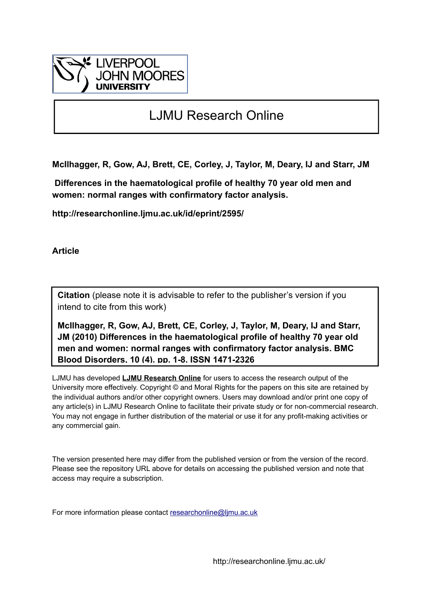

## LJMU Research Online

**McIlhagger, R, Gow, AJ, Brett, CE, Corley, J, Taylor, M, Deary, IJ and Starr, JM**

 **Differences in the haematological profile of healthy 70 year old men and women: normal ranges with confirmatory factor analysis.**

**http://researchonline.ljmu.ac.uk/id/eprint/2595/**

**Article**

**Citation** (please note it is advisable to refer to the publisher's version if you intend to cite from this work)

**McIlhagger, R, Gow, AJ, Brett, CE, Corley, J, Taylor, M, Deary, IJ and Starr, JM (2010) Differences in the haematological profile of healthy 70 year old men and women: normal ranges with confirmatory factor analysis. BMC Blood Disorders, 10 (4). pp. 1-8. ISSN 1471-2326** 

LJMU has developed **[LJMU Research Online](http://researchonline.ljmu.ac.uk/)** for users to access the research output of the University more effectively. Copyright © and Moral Rights for the papers on this site are retained by the individual authors and/or other copyright owners. Users may download and/or print one copy of any article(s) in LJMU Research Online to facilitate their private study or for non-commercial research. You may not engage in further distribution of the material or use it for any profit-making activities or any commercial gain.

The version presented here may differ from the published version or from the version of the record. Please see the repository URL above for details on accessing the published version and note that access may require a subscription.

For more information please contact [researchonline@ljmu.ac.uk](mailto:researchonline@ljmu.ac.uk)

http://researchonline.ljmu.ac.uk/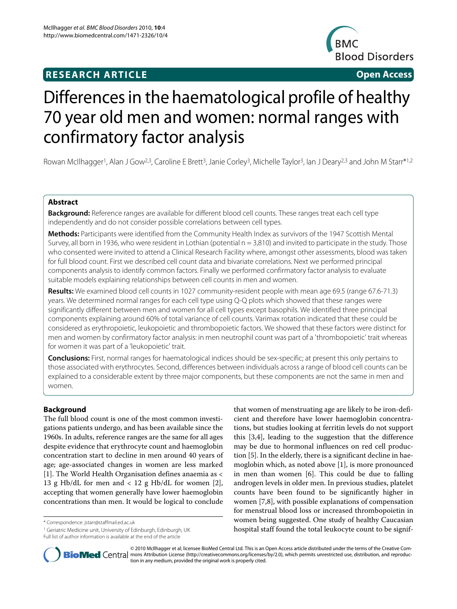### **RESEARCH ARTICLE Open Access**



# Differences in the haematological profile of healthy 70 year old men and women: normal ranges with confirmatory factor analysis

Rowan McIlhagger<sup>1</sup>, Alan J Gow<sup>2,3</sup>, Caroline E Brett<sup>3</sup>, Janie Corley<sup>3</sup>, Michelle Taylor<sup>3</sup>, Ian J Deary<sup>2,3</sup> and John M Starr\*<sup>1,2</sup>

#### **Abstract**

**Background:** Reference ranges are available for different blood cell counts. These ranges treat each cell type independently and do not consider possible correlations between cell types.

**Methods:** Participants were identified from the Community Health Index as survivors of the 1947 Scottish Mental Survey, all born in 1936, who were resident in Lothian (potential  $n = 3.810$ ) and invited to participate in the study. Those who consented were invited to attend a Clinical Research Facility where, amongst other assessments, blood was taken for full blood count. First we described cell count data and bivariate correlations. Next we performed principal components analysis to identify common factors. Finally we performed confirmatory factor analysis to evaluate suitable models explaining relationships between cell counts in men and women.

**Results:** We examined blood cell counts in 1027 community-resident people with mean age 69.5 (range 67.6-71.3) years. We determined normal ranges for each cell type using Q-Q plots which showed that these ranges were significantly different between men and women for all cell types except basophils. We identified three principal components explaining around 60% of total variance of cell counts. Varimax rotation indicated that these could be considered as erythropoietic, leukopoietic and thrombopoietic factors. We showed that these factors were distinct for men and women by confirmatory factor analysis: in men neutrophil count was part of a 'thrombopoietic' trait whereas for women it was part of a 'leukopoietic' trait.

**Conclusions:** First, normal ranges for haematological indices should be sex-specific; at present this only pertains to those associated with erythrocytes. Second, differences between individuals across a range of blood cell counts can be explained to a considerable extent by three major components, but these components are not the same in men and women.

#### **Background**

The full blood count is one of the most common investigations patients undergo, and has been available since the 1960s. In adults, reference ranges are the same for all ages despite evidence that erythrocyte count and haemoglobin concentration start to decline in men around 40 years of age; age-associated changes in women are less marked [[1\]](#page-7-0). The World Health Organisation defines anaemia as < 13 g Hb/dL for men and  $< 12$  g Hb/dL for women [\[2](#page-7-1)], accepting that women generally have lower haemoglobin concentrations than men. It would be logical to conclude

\* Correspondence: jstarr@staffmail.ed.ac.uk

1 Geriatric Medicine unit, University of Edinburgh, Edinburgh, UK Full list of author information is available at the end of the article

that women of menstruating age are likely to be iron-deficient and therefore have lower haemoglobin concentrations, but studies looking at ferritin levels do not support this [\[3](#page-7-2)[,4](#page-7-3)], leading to the suggestion that the difference may be due to hormonal influences on red cell production [\[5](#page-7-4)]. In the elderly, there is a significant decline in haemoglobin which, as noted above [[1\]](#page-7-0), is more pronounced in men than women [\[6](#page-7-5)]. This could be due to falling androgen levels in older men. In previous studies, platelet counts have been found to be significantly higher in women [[7](#page-7-6),[8\]](#page-7-7), with possible explanations of compensation for menstrual blood loss or increased thrombopoietin in women being suggested. One study of healthy Caucasian hospital staff found the total leukocyte count to be signif-



© 2010 McIlhagger et al; licensee BioMed Central Ltd. This is an Open Access article distributed under the terms of the Creative Com-**Bio Med** Central mons Attribution License (http://creativecommons.org/licenses/by/2.0), which permits unrestricted use, distribution, and reproduction in any medium, provided the original work is properly cited.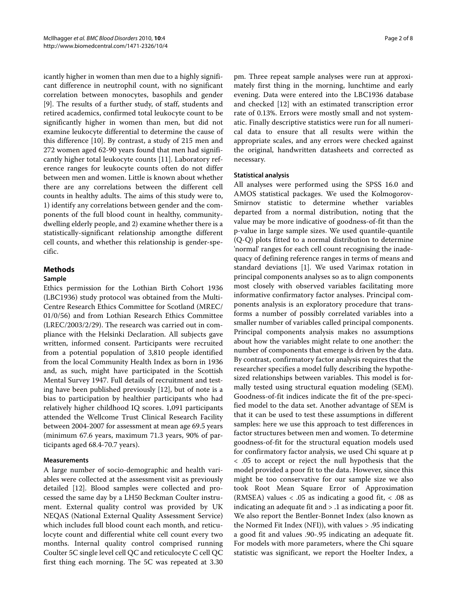icantly higher in women than men due to a highly significant difference in neutrophil count, with no significant correlation between monocytes, basophils and gender [[9\]](#page-7-8). The results of a further study, of staff, students and retired academics, confirmed total leukocyte count to be significantly higher in women than men, but did not examine leukocyte differential to determine the cause of this difference [[10\]](#page-7-9). By contrast, a study of 215 men and 272 women aged 62-90 years found that men had significantly higher total leukocyte counts [[11](#page-7-10)]. Laboratory reference ranges for leukocyte counts often do not differ between men and women. Little is known about whether there are any correlations between the different cell counts in healthy adults. The aims of this study were to, 1) identify any correlations between gender and the components of the full blood count in healthy, communitydwelling elderly people, and 2) examine whether there is a statistically-significant relationship amongthe different cell counts, and whether this relationship is gender-specific.

#### **Methods**

#### **Sample**

Ethics permission for the Lothian Birth Cohort 1936 (LBC1936) study protocol was obtained from the Multi-Centre Research Ethics Committee for Scotland (MREC/ 01/0/56) and from Lothian Research Ethics Committee (LREC/2003/2/29). The research was carried out in compliance with the Helsinki Declaration. All subjects gave written, informed consent. Participants were recruited from a potential population of 3,810 people identified from the local Community Health Index as born in 1936 and, as such, might have participated in the Scottish Mental Survey 1947. Full details of recruitment and testing have been published previously [[12\]](#page-7-11), but of note is a bias to participation by healthier participants who had relatively higher childhood IQ scores. 1,091 participants attended the Wellcome Trust Clinical Research Facility between 2004-2007 for assessment at mean age 69.5 years (minimum 67.6 years, maximum 71.3 years, 90% of participants aged 68.4-70.7 years).

#### **Measurements**

A large number of socio-demographic and health variables were collected at the assessment visit as previously detailed [[12\]](#page-7-11). Blood samples were collected and processed the same day by a LH50 Beckman Coulter instrument. External quality control was provided by UK NEQAS (National External Quality Assessment Service) which includes full blood count each month, and reticulocyte count and differential white cell count every two months. Internal quality control comprised running Coulter 5C single level cell QC and reticulocyte C cell QC first thing each morning. The 5C was repeated at 3.30

pm. Three repeat sample analyses were run at approximately first thing in the morning, lunchtime and early evening. Data were entered into the LBC1936 database and checked [\[12](#page-7-11)] with an estimated transcription error rate of 0.13%. Errors were mostly small and not systematic. Finally descriptive statistics were run for all numerical data to ensure that all results were within the appropriate scales, and any errors were checked against the original, handwritten datasheets and corrected as necessary.

#### **Statistical analysis**

All analyses were performed using the SPSS 16.0 and AMOS statistical packages. We used the Kolmogorov-Smirnov statistic to determine whether variables departed from a normal distribution, noting that the value may be more indicative of goodness-of-fit than the p-value in large sample sizes. We used quantile-quantile (Q-Q) plots fitted to a normal distribution to determine 'normal' ranges for each cell count recognising the inadequacy of defining reference ranges in terms of means and standard deviations [\[1](#page-7-0)]. We used Varimax rotation in principal components analyses so as to align components most closely with observed variables facilitating more informative confirmatory factor analyses. Principal components analysis is an exploratory procedure that transforms a number of possibly correlated variables into a smaller number of variables called principal components. Principal components analysis makes no assumptions about how the variables might relate to one another: the number of components that emerge is driven by the data. By contrast, confirmatory factor analysis requires that the researcher specifies a model fully describing the hypothesized relationships between variables. This model is formally tested using structural equation modeling (SEM). Goodness-of-fit indices indicate the fit of the pre-specified model to the data set. Another advantage of SEM is that it can be used to test these assumptions in different samples: here we use this approach to test differences in factor structures between men and women. To determine goodness-of-fit for the structural equation models used for confirmatory factor analysis, we used Chi square at p < .05 to accept or reject the null hypothesis that the model provided a poor fit to the data. However, since this might be too conservative for our sample size we also took Root Mean Square Error of Approximation (RMSEA) values  $\langle$  .05 as indicating a good fit,  $\langle$  .08 as indicating an adequate fit and > .1 as indicating a poor fit. We also report the Bentler-Bonnet Index (also known as the Normed Fit Index (NFI)), with values > .95 indicating a good fit and values .90-.95 indicating an adequate fit. For models with more parameters, where the Chi square statistic was significant, we report the Hoelter Index, a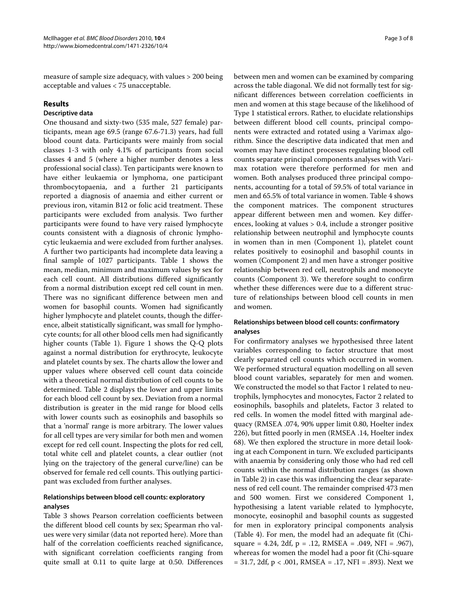measure of sample size adequacy, with values > 200 being acceptable and values < 75 unacceptable.

#### **Results**

#### **Descriptive data**

One thousand and sixty-two (535 male, 527 female) participants, mean age 69.5 (range 67.6-71.3) years, had full blood count data. Participants were mainly from social classes 1-3 with only 4.1% of participants from social classes 4 and 5 (where a higher number denotes a less professional social class). Ten participants were known to have either leukaemia or lymphoma, one participant thrombocytopaenia, and a further 21 participants reported a diagnosis of anaemia and either current or previous iron, vitamin B12 or folic acid treatment. These participants were excluded from analysis. Two further participants were found to have very raised lymphocyte counts consistent with a diagnosis of chronic lymphocytic leukaemia and were excluded from further analyses. A further two participants had incomplete data leaving a final sample of 1027 participants. Table 1 shows the mean, median, minimum and maximum values by sex for each cell count. All distributions differed significantly from a normal distribution except red cell count in men. There was no significant difference between men and women for basophil counts. Women had significantly higher lymphocyte and platelet counts, though the difference, albeit statistically significant, was small for lymphocyte counts; for all other blood cells men had significantly higher counts (Table 1). Figure [1](#page-4-0) shows the Q-Q plots against a normal distribution for erythrocyte, leukocyte and platelet counts by sex. The charts allow the lower and upper values where observed cell count data coincide with a theoretical normal distribution of cell counts to be determined. Table 2 displays the lower and upper limits for each blood cell count by sex. Deviation from a normal distribution is greater in the mid range for blood cells with lower counts such as eosinophils and basophils so that a 'normal' range is more arbitrary. The lower values for all cell types are very similar for both men and women except for red cell count. Inspecting the plots for red cell, total white cell and platelet counts, a clear outlier (not lying on the trajectory of the general curve/line) can be observed for female red cell counts. This outlying participant was excluded from further analyses.

#### **Relationships between blood cell counts: exploratory analyses**

Table 3 shows Pearson correlation coefficients between the different blood cell counts by sex; Spearman rho values were very similar (data not reported here). More than half of the correlation coefficients reached significance, with significant correlation coefficients ranging from quite small at 0.11 to quite large at 0.50. Differences between men and women can be examined by comparing across the table diagonal. We did not formally test for significant differences between correlation coefficients in men and women at this stage because of the likelihood of Type 1 statistical errors. Rather, to elucidate relationships between different blood cell counts, principal components were extracted and rotated using a Varimax algorithm. Since the descriptive data indicated that men and women may have distinct processes regulating blood cell counts separate principal components analyses with Varimax rotation were therefore performed for men and women. Both analyses produced three principal components, accounting for a total of 59.5% of total variance in men and 65.5% of total variance in women. Table 4 shows the component matrices. The component structures appear different between men and women. Key differences, looking at values > 0.4, include a stronger positive relationship between neutrophil and lymphocyte counts in women than in men (Component 1), platelet count relates positively to eosinophil and basophil counts in women (Component 2) and men have a stronger positive relationship between red cell, neutrophils and monocyte counts (Component 3). We therefore sought to confirm whether these differences were due to a different structure of relationships between blood cell counts in men and women.

#### **Relationships between blood cell counts: confirmatory analyses**

For confirmatory analyses we hypothesised three latent variables corresponding to factor structure that most clearly separated cell counts which occurred in women. We performed structural equation modelling on all seven blood count variables, separately for men and women. We constructed the model so that Factor 1 related to neutrophils, lymphocytes and monocytes, Factor 2 related to eosinophils, basophils and platelets, Factor 3 related to red cells. In women the model fitted with marginal adequacy (RMSEA .074, 90% upper limit 0.80, Hoelter index 226), but fitted poorly in men (RMSEA .14, Hoelter index 68). We then explored the structure in more detail looking at each Component in turn. We excluded participants with anaemia by considering only those who had red cell counts within the normal distribution ranges (as shown in Table 2) in case this was influencing the clear separateness of red cell count. The remainder comprised 473 men and 500 women. First we considered Component 1, hypothesising a latent variable related to lymphocyte, monocyte, eosinophil and basophil counts as suggested for men in exploratory principal components analysis (Table 4). For men, the model had an adequate fit (Chisquare = 4.24, 2df, p = .12, RMSEA = .049, NFI = .967), whereas for women the model had a poor fit (Chi-square  $= 31.7, 2df, p < .001, RMSEA = .17, NFI = .893$ ). Next we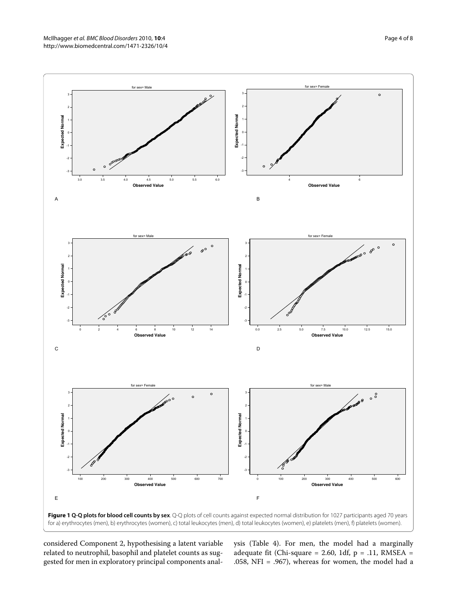<span id="page-4-0"></span>

considered Component 2, hypothesising a latent variable related to neutrophil, basophil and platelet counts as suggested for men in exploratory principal components analysis (Table 4). For men, the model had a marginally adequate fit (Chi-square = 2.60, 1df,  $p = .11$ , RMSEA = .058, NFI = .967), whereas for women, the model had a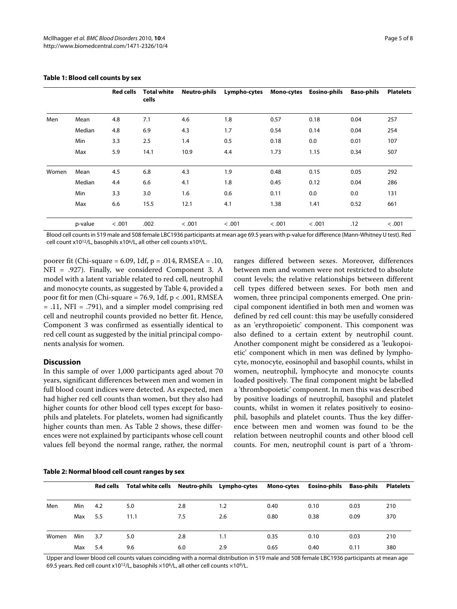|       |         | <b>Red cells</b> | <b>Total white</b><br>cells | <b>Neutro-phils</b> | Lympho-cytes |        | Mono-cytes Eosino-phils | <b>Baso-phils</b> | <b>Platelets</b> |
|-------|---------|------------------|-----------------------------|---------------------|--------------|--------|-------------------------|-------------------|------------------|
| Men   | Mean    | 4.8              | 7.1                         | 4.6                 | 1.8          | 0.57   | 0.18                    | 0.04              | 257              |
|       | Median  | 4.8              | 6.9                         | 4.3                 | 1.7          | 0.54   | 0.14                    | 0.04              | 254              |
|       | Min     | 3.3              | 2.5                         | 1.4                 | 0.5          | 0.18   | 0.0                     | 0.01              | 107              |
|       | Max     | 5.9              | 14.1                        | 10.9                | 4.4          | 1.73   | 1.15                    | 0.34              | 507              |
| Women | Mean    | 4.5              | 6.8                         | 4.3                 | 1.9          | 0.48   | 0.15                    | 0.05              | 292              |
|       | Median  | 4.4              | 6.6                         | 4.1                 | 1.8          | 0.45   | 0.12                    | 0.04              | 286              |
|       | Min     | 3.3              | 3.0                         | 1.6                 | 0.6          | 0.11   | 0.0                     | 0.0               | 131              |
|       | Max     | 6.6              | 15.5                        | 12.1                | 4.1          | 1.38   | 1.41                    | 0.52              | 661              |
|       | p-value | < .001           | .002                        | < .001              | < .001       | < .001 | < .001                  | .12               | < .001           |

#### **Table 1: Blood cell counts by sex**

Blood cell counts in 519 male and 508 female LBC1936 participants at mean age 69.5 years with p-value for difference (Mann-Whitney U test). Red cell count x1012/L, basophils x106/L, all other cell counts x109/L.

poorer fit (Chi-square =  $6.09$ , 1df,  $p = .014$ , RMSEA = .10, NFI = .927). Finally, we considered Component 3. A model with a latent variable related to red cell, neutrophil and monocyte counts, as suggested by Table 4, provided a poor fit for men (Chi-square = 76.9, 1df,  $p < .001$ , RMSEA = .11, NFI = .791), and a simpler model comprising red cell and neutrophil counts provided no better fit. Hence, Component 3 was confirmed as essentially identical to red cell count as suggested by the initial principal components analysis for women.

#### **Discussion**

In this sample of over 1,000 participants aged about 70 years, significant differences between men and women in full blood count indices were detected. As expected, men had higher red cell counts than women, but they also had higher counts for other blood cell types except for basophils and platelets. For platelets, women had significantly higher counts than men. As Table 2 shows, these differences were not explained by participants whose cell count values fell beyond the normal range, rather, the normal count levels; the relative relationships between different cell types differed between sexes. For both men and women, three principal components emerged. One principal component identified in both men and women was defined by red cell count: this may be usefully considered as an 'erythropoietic' component. This component was also defined to a certain extent by neutrophil count. Another component might be considered as a 'leukopoietic' component which in men was defined by lymphocyte, monocyte, eosinophil and basophil counts, whilst in women, neutrophil, lymphocyte and monocyte counts loaded positively. The final component might be labelled a 'thrombopoietic' component. In men this was described by positive loadings of neutrophil, basophil and platelet counts, whilst in women it relates positively to eosinophil, basophils and platelet counts. Thus the key difference between men and women was found to be the relation between neutrophil counts and other blood cell counts. For men, neutrophil count is part of a 'throm-

ranges differed between sexes. Moreover, differences between men and women were not restricted to absolute

#### **Table 2: Normal blood cell count ranges by sex**

|       |     |     | Red cells Total white cells Neutro-phils Lympho-cytes |     |     | Mono-cytes | Eosino-phils Baso-phils |      | <b>Platelets</b> |
|-------|-----|-----|-------------------------------------------------------|-----|-----|------------|-------------------------|------|------------------|
| Men   | Min | 4.2 | 5.0                                                   | 2.8 | 1.2 | 0.40       | 0.10                    | 0.03 | 210              |
|       | Max | 5.5 | 11.1                                                  | 7.5 | 2.6 | 0.80       | 0.38                    | 0.09 | 370              |
| Women | Min | 3.7 | 5.0                                                   | 2.8 | 1.1 | 0.35       | 0.10                    | 0.03 | 210              |
|       | Max | 5.4 | 9.6                                                   | 6.0 | 2.9 | 0.65       | 0.40                    | 0.11 | 380              |

Upper and lower blood cell counts values coinciding with a normal distribution in 519 male and 508 female LBC1936 participants at mean age 69.5 years. Red cell count x1012/L, basophils ×106/L, all other cell counts ×109/L.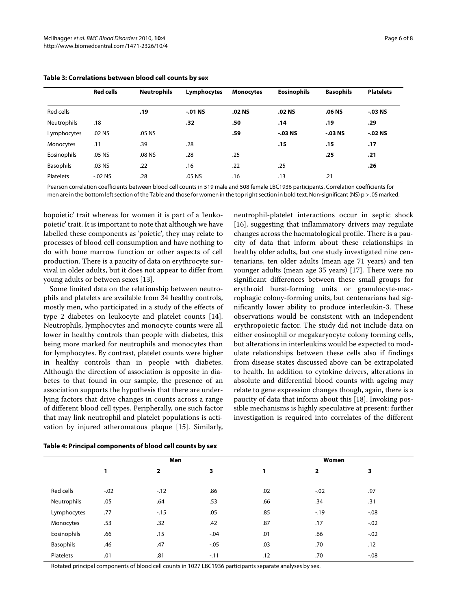|                  | <b>Red cells</b> | <b>Neutrophils</b> | Lymphocytes | <b>Monocytes</b> | <b>Eosinophils</b> | <b>Basophils</b> | <b>Platelets</b> |
|------------------|------------------|--------------------|-------------|------------------|--------------------|------------------|------------------|
| Red cells        |                  | .19                | $-0.01$ NS  | .02 NS           | .02 NS             | .06 NS           | $-.03$ NS        |
| Neutrophils      | .18              |                    | .32         | .50              | .14                | .19              | .29              |
| Lymphocytes      | .02 <sub>N</sub> | .05 <sub>N</sub>   |             | .59              | $-0.03$ NS         | $-0.03$ NS       | $-.02$ NS        |
| Monocytes        | .11              | .39                | .28         |                  | .15                | .15              | .17              |
| Eosinophils      | .05 <sub>N</sub> | .08 NS             | .28         | .25              |                    | .25              | .21              |
| <b>Basophils</b> | .03 <sub>N</sub> | .22                | .16         | .22              | .25                |                  | .26              |
| <b>Platelets</b> | $-0.02$ NS       | .28                | .05 NS      | .16              | .13                | .21              |                  |

| Table 3: Correlations between blood cell counts by sex |  |
|--------------------------------------------------------|--|
|--------------------------------------------------------|--|

Pearson correlation coefficients between blood cell counts in 519 male and 508 female LBC1936 participants. Correlation coefficients for men are in the bottom left section of the Table and those for women in the top right section in bold text. Non-significant (NS) p > .05 marked.

bopoietic' trait whereas for women it is part of a 'leukopoietic' trait. It is important to note that although we have labelled these components as 'poietic', they may relate to processes of blood cell consumption and have nothing to do with bone marrow function or other aspects of cell production. There is a paucity of data on erythrocyte survival in older adults, but it does not appear to differ from young adults or between sexes [[13\]](#page-7-12).

Some limited data on the relationship between neutrophils and platelets are available from 34 healthy controls, mostly men, who participated in a study of the effects of type 2 diabetes on leukocyte and platelet counts [\[14](#page-7-13)]. Neutrophils, lymphocytes and monocyte counts were all lower in healthy controls than people with diabetes, this being more marked for neutrophils and monocytes than for lymphocytes. By contrast, platelet counts were higher in healthy controls than in people with diabetes. Although the direction of association is opposite in diabetes to that found in our sample, the presence of an association supports the hypothesis that there are underlying factors that drive changes in counts across a range of different blood cell types. Peripherally, one such factor that may link neutrophil and platelet populations is activation by injured atheromatous plaque [\[15](#page-8-0)]. Similarly,

neutrophil-platelet interactions occur in septic shock [[16\]](#page-8-1), suggesting that inflammatory drivers may regulate changes across the haematological profile. There is a paucity of data that inform about these relationships in healthy older adults, but one study investigated nine centenarians, ten older adults (mean age 71 years) and ten younger adults (mean age 35 years) [\[17\]](#page-8-2). There were no significant differences between these small groups for erythroid burst-forming units or granulocyte-macrophagic colony-forming units, but centenarians had significantly lower ability to produce interleukin-3. These observations would be consistent with an independent erythropoietic factor. The study did not include data on either eosinophil or megakaryocyte colony forming cells, but alterations in interleukins would be expected to modulate relationships between these cells also if findings from disease states discussed above can be extrapolated to health. In addition to cytokine drivers, alterations in absolute and differential blood counts with ageing may relate to gene expression changes though, again, there is a paucity of data that inform about this [\[18\]](#page-8-3). Invoking possible mechanisms is highly speculative at present: further investigation is required into correlates of the different

|             | Men    |       |        | Women |                         |        |  |
|-------------|--------|-------|--------|-------|-------------------------|--------|--|
|             |        | 2     | з      |       | $\overline{\mathbf{z}}$ | з      |  |
| Red cells   | $-.02$ | $-12$ | .86    | .02   | $-0.02$                 | .97    |  |
| Neutrophils | .05    | .64   | .53    | .66   | .34                     | .31    |  |
| Lymphocytes | .77    | $-15$ | .05    | .85   | $-19$                   | $-.08$ |  |
| Monocytes   | .53    | .32   | .42    | .87   | .17                     | $-.02$ |  |
| Eosinophils | .66    | .15   | $-.04$ | .01   | .66                     | $-.02$ |  |
| Basophils   | .46    | .47   | $-.05$ | .03   | .70                     | .12    |  |
| Platelets   | .01    | .81   | $-.11$ | .12   | .70                     | $-.08$ |  |

**Table 4: Principal components of blood cell counts by sex**

Rotated principal components of blood cell counts in 1027 LBC1936 participants separate analyses by sex.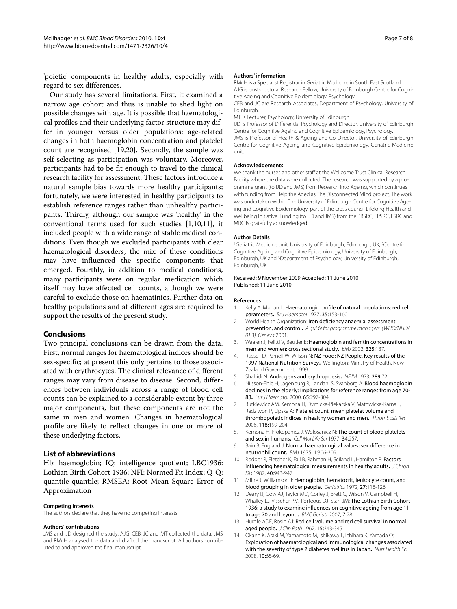'poietic' components in healthy adults, especially with regard to sex differences.

Our study has several limitations. First, it examined a narrow age cohort and thus is unable to shed light on possible changes with age. It is possible that haematological profiles and their underlying factor structure may differ in younger versus older populations: age-related changes in both haemoglobin concentration and platelet count are recognised [[19,](#page-8-4)[20\]](#page-8-5). Secondly, the sample was self-selecting as participation was voluntary. Moreover, participants had to be fit enough to travel to the clinical research facility for assessment. These factors introduce a natural sample bias towards more healthy participants; fortunately, we were interested in healthy participants to establish reference ranges rather than unhealthy participants. Thirdly, although our sample was 'healthy' in the conventional terms used for such studies [[1](#page-7-0)[,10](#page-7-9)[,11](#page-7-10)], it included people with a wide range of stable medical conditions. Even though we excluded participants with clear haematological disorders, the mix of these conditions may have influenced the specific components that emerged. Fourthly, in addition to medical conditions, many participants were on regular medication which itself may have affected cell counts, although we were careful to exclude those on haematinics. Further data on healthy populations and at different ages are required to support the results of the present study.

#### **Conclusions**

Two principal conclusions can be drawn from the data. First, normal ranges for haematological indices should be sex-specific; at present this only pertains to those associated with erythrocytes. The clinical relevance of different ranges may vary from disease to disease. Second, differences between individuals across a range of blood cell counts can be explained to a considerable extent by three major components, but these components are not the same in men and women. Changes in haematological profile are likely to reflect changes in one or more of these underlying factors.

#### **List of abbreviations**

Hb: haemoglobin; IQ: intelligence quotient; LBC1936: Lothian Birth Cohort 1936; NFI: Normed Fit Index; Q-Q: quantile-quantile; RMSEA: Root Mean Square Error of Approximation

#### **Competing interests**

The authors declare that they have no competing interests.

#### **Authors' contributions**

JMS and IJD designed the study. AJG, CEB, JC and MT collected the data. JMS and RMcH analysed the data and drafted the manuscript. All authors contributed to and approved the final manuscript.

#### **Authors' information**

RMcH is a Specialist Registrar in Geriatric Medicine in South East Scotland. AJG is post-doctoral Research Fellow, University of Edinburgh Centre for Cognitive Ageing and Cognitive Epidemiology, Psychology.

CEB and JC are Research Associates, Department of Psychology, University of Edinburgh.

MT is Lecturer, Psychology, University of Edinburgh.

IJD is Professor of Differential Psychology and Director, University of Edinburgh Centre for Cognitive Ageing and Cognitive Epidemiology, Psychology.

JMS is Professor of Health & Ageing and Co-Director, University of Edinburgh Centre for Cognitive Ageing and Cognitive Epidemiology, Geriatric Medicine unit.

#### **Acknowledgements**

We thank the nurses and other staff at the Wellcome Trust Clinical Research Facility where the data were collected. The research was supported by a programme grant (to IJD and JMS) from Research Into Ageing, which continues with funding from Help the Aged as The Disconnected Mind project. The work was undertaken within The University of Edinburgh Centre for Cognitive Ageing and Cognitive Epidemiology, part of the cross council Lifelong Health and Wellbeing Initiative. Funding (to IJD and JMS) from the BBSRC, EPSRC, ESRC and MRC is gratefully acknowledged.

#### **Author Details**

<sup>1</sup>Geriatric Medicine unit, University of Edinburgh, Edinburgh, UK, <sup>2</sup>Centre for Cognitive Ageing and Cognitive Epidemiology, University of Edinburgh, Edinburgh, UK and 3Department of Psychology, University of Edinburgh, Edinburgh, UK

#### Received: 9 November 2009 Accepted: 11 June 2010 Published: 11 June 2010

#### **References**

- <span id="page-7-0"></span>1. Kelly A, Munan L: Haematologic profile of natural populations: red cell parameters**.** Br J Haematol 1977, 35:153-160.
- <span id="page-7-1"></span>2. World Health Organization: Iron deficiency anaemia: assessment, prevention, and control**.** A guide for programme managers. (WHO/NHD/ 01.3). Geneva 2001.
- <span id="page-7-2"></span>3. Waalen J, Felitti V, Beutler E: Haemoglobin and ferritin concentrations in men and women: cross sectional study**.** BMJ 2002, 325:137.
- <span id="page-7-3"></span>4. Russell D, Parnell W, Wilson N: NZ Food: NZ People. Key results of the 1997 National Nutrition Survey**.** Wellington: Ministry of Health, New Zealand Government; 1999.
- <span id="page-7-4"></span>5. Shahidi N: Androgens and erythropoesis**.** NEJM 1973, 289:72.
- <span id="page-7-5"></span>Nilsson-Ehle H, Jagenburg R, Landahl S, Svanborg A: Blood haemoglobin declines in the elderly: implications for reference ranges from age 70- 88**[.](http://www.ncbi.nlm.nih.gov/entrez/query.fcgi?cmd=Retrieve&db=PubMed&dopt=Abstract&list_uids=11092459)** Eur J Haematol 2000, 65:297-304.
- <span id="page-7-6"></span>7. Butkiewicz AM, Kemona H, Dymicka-Piekarska V, Matowicka-Karna J, Radziwon P, Lipska A: Platelet count, mean platelet volume and thrombopoietic indices in healthy women and men**.** Thrombosis Res 2006, 118:199-204.
- <span id="page-7-7"></span>8. Kemona H, Prokopanicz J, Wolosanicz N: The count of blood platelets and sex in humans**.** Cell Mol Life Sci 1977, 34:257.
- <span id="page-7-8"></span>9. Bain B, England J: Normal haematological values: sex difference in neutrophil count**[.](http://www.ncbi.nlm.nih.gov/entrez/query.fcgi?cmd=Retrieve&db=PubMed&dopt=Abstract&list_uids=1111792)** BMJ 1975, 1:306-309.
- <span id="page-7-9"></span>10. Rodger R, Fletcher K, Fail B, Rahman H, Sciland L, Hamilton P: Factors influencing haematological measurements in healthy adults**.** J Chron Dis 1987, 40:943-947.
- <span id="page-7-10"></span>11. Milne J, Williamson J: Hemoglobin, hematocrit, leukocyte count, and blood grouping in older people**.** Geriatrics 1972, 27:118-126.
- <span id="page-7-11"></span>12. Deary IJ, Gow AJ, Taylor MD, Corley J, Brett C, Wilson V, Campbell H, Whalley LJ, Visscher PM, Porteous DJ, Starr JM: The Lothian Birth Cohort 1936: a study to examine influences on cognitive ageing from age 11 to age 70 and beyond**.** BMC Geriatr 2007, 7:28.
- <span id="page-7-12"></span>13. Hurdle ADF, Rosin AJ: Red cell volume and red cell survival in normal aged people**.** J Clin Path 1962, 15:343-345.
- <span id="page-7-13"></span>14. Okano K, Araki M, Yamamoto M, Ishikawa T, Ichihara K, Yamada O: Exploration of haematological and immunological changes associated with the severity of type 2 diabetes mellitus in Japan**.** Nurs Health Sci 2008, 10:65-69.